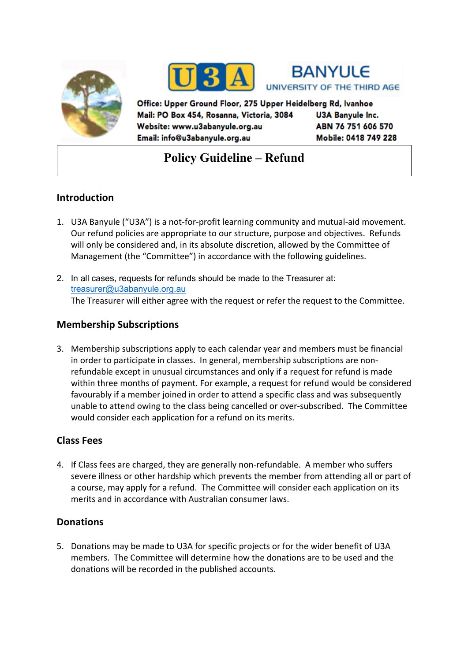





Office: Upper Ground Floor, 275 Upper Heidelberg Rd, Ivanhoe Mail: PO Box 454, Rosanna, Victoria, 3084 **U3A Banyule Inc.** ABN 76 751 606 570 Website: www.u3abanyule.org.au Mobile: 0418 749 228 Email: info@u3abanyule.org.au

# **Policy Guideline – Refund**

## **Introduction**

- 1. U3A Banyule ("U3A") is a not-for-profit learning community and mutual-aid movement. Our refund policies are appropriate to our structure, purpose and objectives. Refunds will only be considered and, in its absolute discretion, allowed by the Committee of Management (the "Committee") in accordance with the following guidelines.
- 2. In all cases, requests for refunds should be made to the Treasurer at: treasurer@u3abanyule.org.au The Treasurer will either agree with the request or refer the request to the Committee.

#### **Membership Subscriptions**

3. Membership subscriptions apply to each calendar year and members must be financial in order to participate in classes. In general, membership subscriptions are nonrefundable except in unusual circumstances and only if a request for refund is made within three months of payment. For example, a request for refund would be considered favourably if a member joined in order to attend a specific class and was subsequently unable to attend owing to the class being cancelled or over-subscribed. The Committee would consider each application for a refund on its merits.

## **Class Fees**

4. If Class fees are charged, they are generally non-refundable. A member who suffers severe illness or other hardship which prevents the member from attending all or part of a course, may apply for a refund. The Committee will consider each application on its merits and in accordance with Australian consumer laws.

## **Donations**

5. Donations may be made to U3A for specific projects or for the wider benefit of U3A members. The Committee will determine how the donations are to be used and the donations will be recorded in the published accounts.